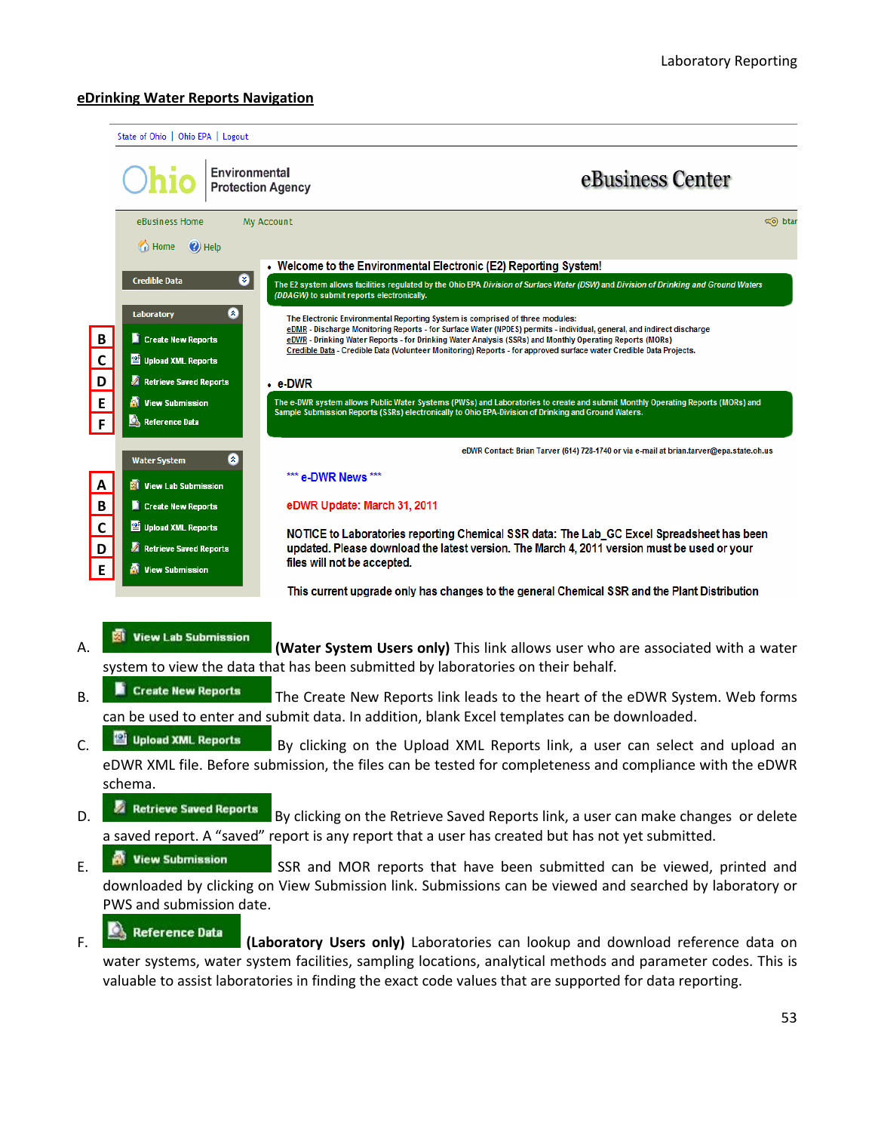#### **eDrinking Water Reports Navigation**

|              |                                                | Environmental<br><b>Protection Agency</b>      | eBusiness Center                                                                                                                                                                                                                      |
|--------------|------------------------------------------------|------------------------------------------------|---------------------------------------------------------------------------------------------------------------------------------------------------------------------------------------------------------------------------------------|
|              | eBusiness Home<br>$\bigoplus$ Home<br>(c) Help | My Account                                     | o btar                                                                                                                                                                                                                                |
|              |                                                |                                                | • Welcome to the Environmental Electronic (E2) Reporting System!                                                                                                                                                                      |
|              | Credible Data                                  | ◉<br>(DDAGW) to submit reports electronically. | The E2 system allows facilities regulated by the Ohio EPA Division of Surface Water (DSW) and Division of Drinking and Ground Waters                                                                                                  |
|              | Laboratory                                     | 2                                              | The Electronic Environmental Reporting System is comprised of three modules:                                                                                                                                                          |
| B            | Create New Reports                             |                                                | eDMR - Discharge Monitoring Reports - for Surface Water (NPDES) permits - individual, general, and indirect discharge<br>eDWR - Drinking Water Reports - for Drinking Water Analysis (SSRs) and Monthly Operating Reports (MORs)      |
| $\mathbf c$  | Upload XML Reports                             |                                                | Credible Data - Credible Data (Volunteer Monitoring) Reports - for approved surface water Credible Data Projects.                                                                                                                     |
| D            | <b>A</b> Retrieve Saved Reports                | $\cdot$ e-DWR                                  |                                                                                                                                                                                                                                       |
| E            | <b>W</b> View Submission                       |                                                | The e-DWR system allows Public Water Systems (PWSs) and Laboratories to create and submit Monthly Operating Reports (MORs) and<br>Sample Submission Reports (SSRs) electronically to Ohio EPA-Division of Drinking and Ground Waters. |
| F            | Reference Data                                 |                                                |                                                                                                                                                                                                                                       |
|              | Water System                                   | ۵                                              | eDWR Contact: Brian Tarver (614) 728-1740 or via e-mail at brian.tarver@epa.state.oh.us                                                                                                                                               |
| A            | <b>W</b> View Lab Submission                   | *** e-DWR News ***                             |                                                                                                                                                                                                                                       |
| $\, {\bf B}$ | Create New Reports                             | eDWR Update: March 31, 2011                    |                                                                                                                                                                                                                                       |
| $\mathbf c$  | Upload XML Reports                             |                                                | NOTICE to Laboratories reporting Chemical SSR data: The Lab_GC Excel Spreadsheet has been                                                                                                                                             |
| D            | <b>A</b> Retrieve Saved Reports                |                                                | updated. Please download the latest version. The March 4, 2011 version must be used or your                                                                                                                                           |
| E            | <b>W</b> View Submission                       | files will not be accepted.                    |                                                                                                                                                                                                                                       |
|              |                                                |                                                | This current upgrade only has changes to the general Chemical SSR and the Plant Distribution                                                                                                                                          |
|              |                                                |                                                |                                                                                                                                                                                                                                       |
| А.           | View Lab Submission                            |                                                | (Water System Users only) This link allows user who are associated with a water                                                                                                                                                       |
|              |                                                |                                                | system to view the data that has been submitted by laboratories on their behalf.                                                                                                                                                      |
| B.           | ы<br><b>Create New Reports</b>                 |                                                | The Create New Reports link leads to the heart of the eDWR System. Web forms                                                                                                                                                          |
|              |                                                |                                                | can be used to enter and submit data. In addition, blank Excel templates can be downloaded.                                                                                                                                           |
| Ċ.           | Upload XML Reports                             |                                                | By clicking on the Upload XML Reports link, a user can select and upload an                                                                                                                                                           |
|              |                                                |                                                | eDWR XML file. Before submission, the files can be tested for completeness and compliance with the eDWR                                                                                                                               |
|              | schema.                                        |                                                |                                                                                                                                                                                                                                       |
| D.           | Retrieve Saved Reports                         |                                                | By clicking on the Retrieve Saved Reports link, a user can make changes or delete                                                                                                                                                     |
|              |                                                |                                                | a saved report. A "saved" report is any report that a user has created but has not yet submitted.                                                                                                                                     |
| Ē.           | <b>W</b> View Submission                       |                                                | SSR and MOR reports that have been submitted can be viewed, printed and                                                                                                                                                               |
|              |                                                |                                                | downloaded by clicking on View Submission link. Submissions can be viewed and searched by laboratory or                                                                                                                               |
|              | PWS and submission date.                       |                                                |                                                                                                                                                                                                                                       |
| D            | <b>Reference Data</b>                          |                                                |                                                                                                                                                                                                                                       |

F. **Examplement and Industry Users only)** Laboratories can lookup and download reference data on water systems, water system facilities, sampling locations, analytical methods and parameter codes. This is valuable to assist laboratories in finding the exact code values that are supported for data reporting.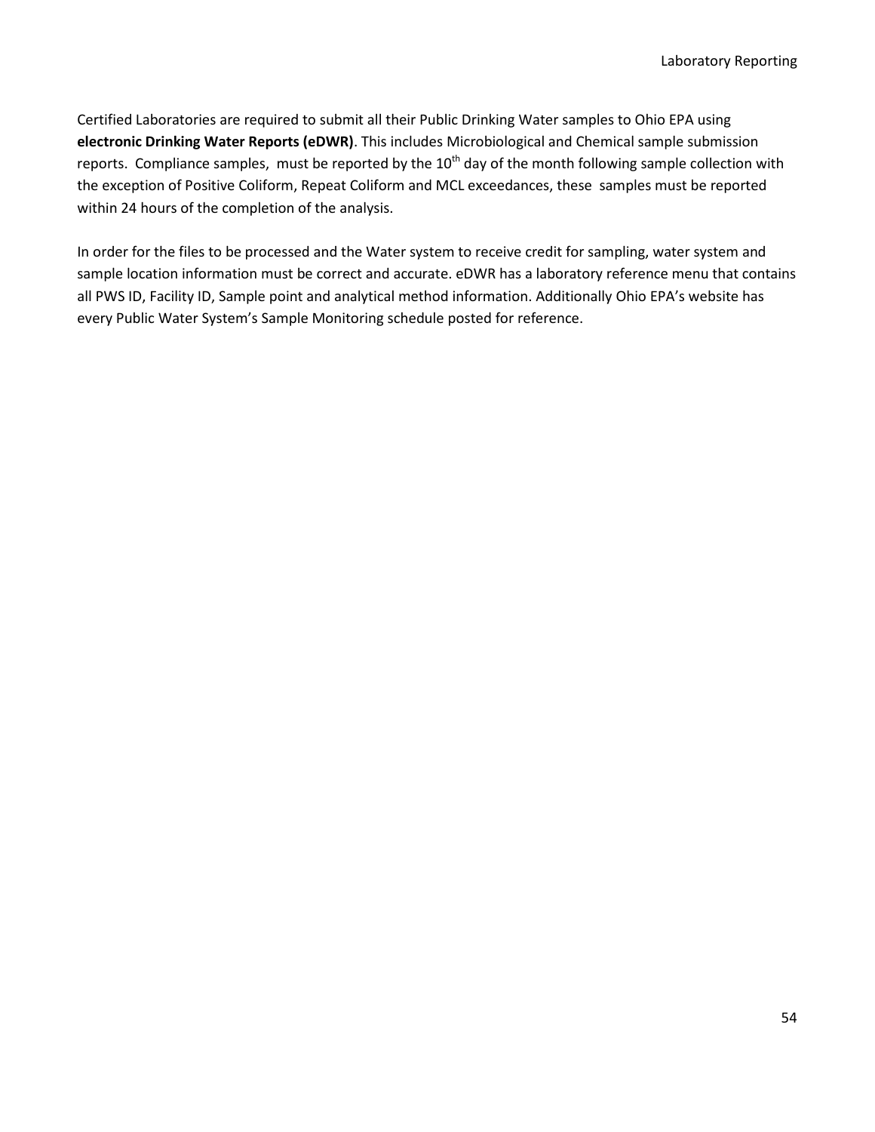Certified Laboratories are required to submit all their Public Drinking Water samples to Ohio EPA using **electronic Drinking Water Reports (eDWR)**. This includes Microbiological and Chemical sample submission reports. Compliance samples, must be reported by the  $10<sup>th</sup>$  day of the month following sample collection with the exception of Positive Coliform, Repeat Coliform and MCL exceedances, these samples must be reported within 24 hours of the completion of the analysis.

In order for the files to be processed and the Water system to receive credit for sampling, water system and sample location information must be correct and accurate. eDWR has a laboratory reference menu that contains all PWS ID, Facility ID, Sample point and analytical method information. Additionally Ohio EPA's website has every Public Water System's Sample Monitoring schedule posted for reference.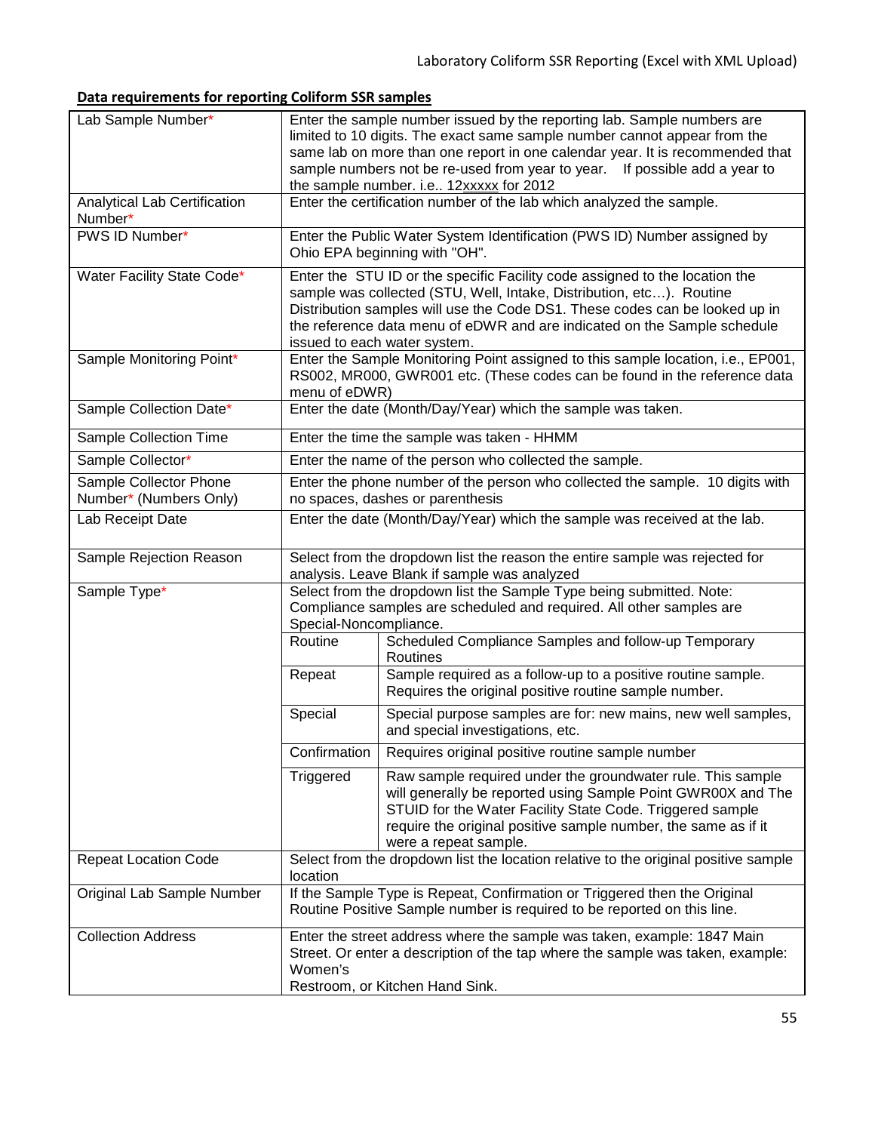# **Data requirements for reporting Coliform SSR samples**

| Lab Sample Number*                               | Enter the sample number issued by the reporting lab. Sample numbers are<br>limited to 10 digits. The exact same sample number cannot appear from the<br>same lab on more than one report in one calendar year. It is recommended that<br>sample numbers not be re-used from year to year. If possible add a year to<br>the sample number. i.e 12xxxxx for 2012 |                                                                                                                                                                                                                                                                                                                                                |  |  |  |  |  |  |
|--------------------------------------------------|----------------------------------------------------------------------------------------------------------------------------------------------------------------------------------------------------------------------------------------------------------------------------------------------------------------------------------------------------------------|------------------------------------------------------------------------------------------------------------------------------------------------------------------------------------------------------------------------------------------------------------------------------------------------------------------------------------------------|--|--|--|--|--|--|
| Analytical Lab Certification<br>Number*          | Enter the certification number of the lab which analyzed the sample.                                                                                                                                                                                                                                                                                           |                                                                                                                                                                                                                                                                                                                                                |  |  |  |  |  |  |
| PWS ID Number*                                   | Enter the Public Water System Identification (PWS ID) Number assigned by<br>Ohio EPA beginning with "OH".                                                                                                                                                                                                                                                      |                                                                                                                                                                                                                                                                                                                                                |  |  |  |  |  |  |
| Water Facility State Code*                       |                                                                                                                                                                                                                                                                                                                                                                | Enter the STU ID or the specific Facility code assigned to the location the<br>sample was collected (STU, Well, Intake, Distribution, etc). Routine<br>Distribution samples will use the Code DS1. These codes can be looked up in<br>the reference data menu of eDWR and are indicated on the Sample schedule<br>issued to each water system. |  |  |  |  |  |  |
| Sample Monitoring Point*                         | menu of eDWR)                                                                                                                                                                                                                                                                                                                                                  | Enter the Sample Monitoring Point assigned to this sample location, i.e., EP001,<br>RS002, MR000, GWR001 etc. (These codes can be found in the reference data                                                                                                                                                                                  |  |  |  |  |  |  |
| Sample Collection Date*                          |                                                                                                                                                                                                                                                                                                                                                                | Enter the date (Month/Day/Year) which the sample was taken.                                                                                                                                                                                                                                                                                    |  |  |  |  |  |  |
| Sample Collection Time                           |                                                                                                                                                                                                                                                                                                                                                                | Enter the time the sample was taken - HHMM                                                                                                                                                                                                                                                                                                     |  |  |  |  |  |  |
| Sample Collector*                                |                                                                                                                                                                                                                                                                                                                                                                | Enter the name of the person who collected the sample.                                                                                                                                                                                                                                                                                         |  |  |  |  |  |  |
| Sample Collector Phone<br>Number* (Numbers Only) |                                                                                                                                                                                                                                                                                                                                                                | Enter the phone number of the person who collected the sample. 10 digits with<br>no spaces, dashes or parenthesis                                                                                                                                                                                                                              |  |  |  |  |  |  |
| Lab Receipt Date                                 |                                                                                                                                                                                                                                                                                                                                                                | Enter the date (Month/Day/Year) which the sample was received at the lab.                                                                                                                                                                                                                                                                      |  |  |  |  |  |  |
| Sample Rejection Reason                          |                                                                                                                                                                                                                                                                                                                                                                | Select from the dropdown list the reason the entire sample was rejected for<br>analysis. Leave Blank if sample was analyzed                                                                                                                                                                                                                    |  |  |  |  |  |  |
| Sample Type*                                     | Special-Noncompliance.                                                                                                                                                                                                                                                                                                                                         | Select from the dropdown list the Sample Type being submitted. Note:<br>Compliance samples are scheduled and required. All other samples are                                                                                                                                                                                                   |  |  |  |  |  |  |
|                                                  | Routine                                                                                                                                                                                                                                                                                                                                                        | Scheduled Compliance Samples and follow-up Temporary<br>Routines                                                                                                                                                                                                                                                                               |  |  |  |  |  |  |
|                                                  | Repeat                                                                                                                                                                                                                                                                                                                                                         | Sample required as a follow-up to a positive routine sample.<br>Requires the original positive routine sample number.                                                                                                                                                                                                                          |  |  |  |  |  |  |
|                                                  | Special                                                                                                                                                                                                                                                                                                                                                        | Special purpose samples are for: new mains, new well samples,<br>and special investigations, etc.                                                                                                                                                                                                                                              |  |  |  |  |  |  |
|                                                  | Confirmation                                                                                                                                                                                                                                                                                                                                                   | Requires original positive routine sample number                                                                                                                                                                                                                                                                                               |  |  |  |  |  |  |
|                                                  | Triggered                                                                                                                                                                                                                                                                                                                                                      | Raw sample required under the groundwater rule. This sample<br>will generally be reported using Sample Point GWR00X and The<br>STUID for the Water Facility State Code. Triggered sample<br>require the original positive sample number, the same as if it<br>were a repeat sample.                                                            |  |  |  |  |  |  |
| <b>Repeat Location Code</b>                      | location                                                                                                                                                                                                                                                                                                                                                       | Select from the dropdown list the location relative to the original positive sample                                                                                                                                                                                                                                                            |  |  |  |  |  |  |
| Original Lab Sample Number                       | If the Sample Type is Repeat, Confirmation or Triggered then the Original<br>Routine Positive Sample number is required to be reported on this line.                                                                                                                                                                                                           |                                                                                                                                                                                                                                                                                                                                                |  |  |  |  |  |  |
| <b>Collection Address</b>                        | Enter the street address where the sample was taken, example: 1847 Main<br>Street. Or enter a description of the tap where the sample was taken, example:<br>Women's<br>Restroom, or Kitchen Hand Sink.                                                                                                                                                        |                                                                                                                                                                                                                                                                                                                                                |  |  |  |  |  |  |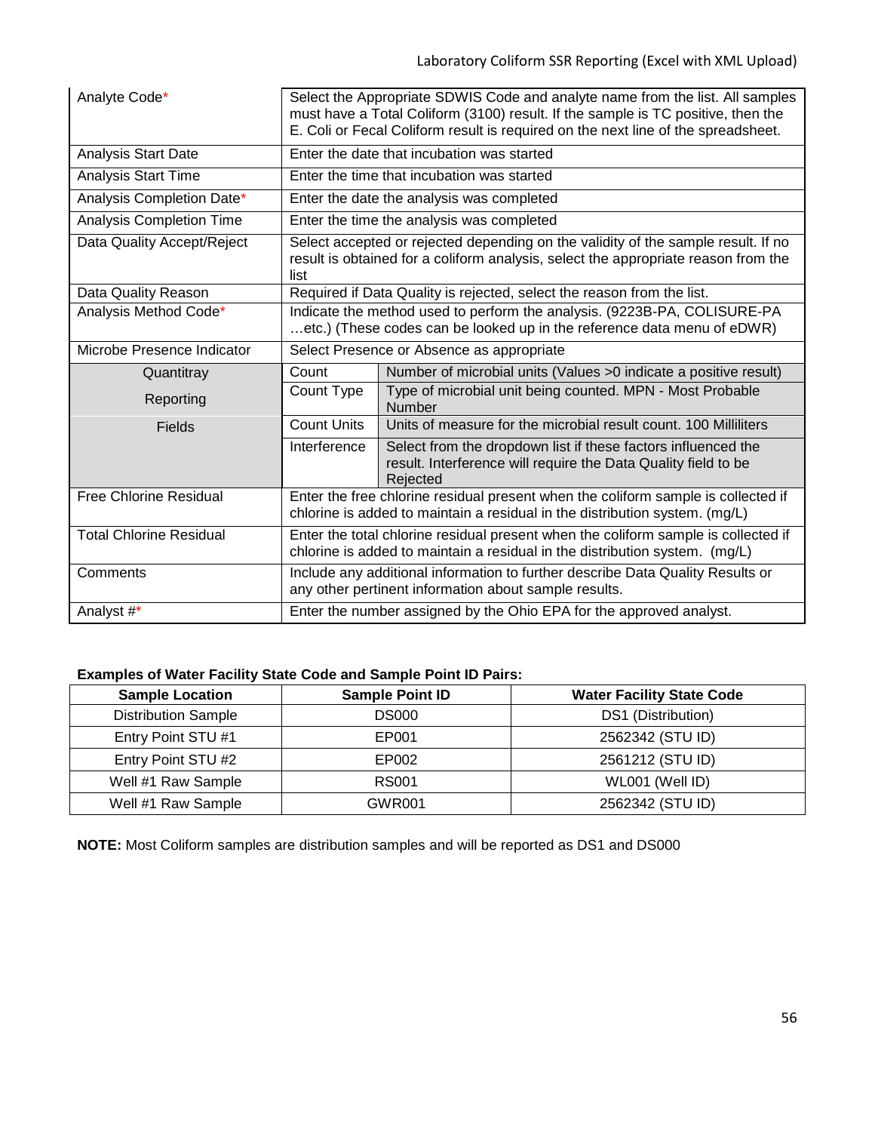| Analyte Code*                                                                                                                                       | Select the Appropriate SDWIS Code and analyte name from the list. All samples<br>must have a Total Coliform (3100) result. If the sample is TC positive, then the<br>E. Coli or Fecal Coliform result is required on the next line of the spreadsheet. |                                                                                                                                                                         |  |  |  |  |  |  |  |  |
|-----------------------------------------------------------------------------------------------------------------------------------------------------|--------------------------------------------------------------------------------------------------------------------------------------------------------------------------------------------------------------------------------------------------------|-------------------------------------------------------------------------------------------------------------------------------------------------------------------------|--|--|--|--|--|--|--|--|
| <b>Analysis Start Date</b>                                                                                                                          |                                                                                                                                                                                                                                                        | Enter the date that incubation was started                                                                                                                              |  |  |  |  |  |  |  |  |
| <b>Analysis Start Time</b>                                                                                                                          |                                                                                                                                                                                                                                                        | Enter the time that incubation was started                                                                                                                              |  |  |  |  |  |  |  |  |
| Analysis Completion Date*                                                                                                                           |                                                                                                                                                                                                                                                        | Enter the date the analysis was completed                                                                                                                               |  |  |  |  |  |  |  |  |
| <b>Analysis Completion Time</b>                                                                                                                     |                                                                                                                                                                                                                                                        | Enter the time the analysis was completed                                                                                                                               |  |  |  |  |  |  |  |  |
| Data Quality Accept/Reject                                                                                                                          | list                                                                                                                                                                                                                                                   | Select accepted or rejected depending on the validity of the sample result. If no<br>result is obtained for a coliform analysis, select the appropriate reason from the |  |  |  |  |  |  |  |  |
| Data Quality Reason                                                                                                                                 |                                                                                                                                                                                                                                                        | Required if Data Quality is rejected, select the reason from the list.                                                                                                  |  |  |  |  |  |  |  |  |
| Analysis Method Code*                                                                                                                               |                                                                                                                                                                                                                                                        | Indicate the method used to perform the analysis. (9223B-PA, COLISURE-PA<br>etc.) (These codes can be looked up in the reference data menu of eDWR)                     |  |  |  |  |  |  |  |  |
| Microbe Presence Indicator                                                                                                                          | Select Presence or Absence as appropriate                                                                                                                                                                                                              |                                                                                                                                                                         |  |  |  |  |  |  |  |  |
| Quantitray                                                                                                                                          | Count                                                                                                                                                                                                                                                  | Number of microbial units (Values >0 indicate a positive result)                                                                                                        |  |  |  |  |  |  |  |  |
| Reporting                                                                                                                                           | Count Type                                                                                                                                                                                                                                             | Type of microbial unit being counted. MPN - Most Probable<br>Number                                                                                                     |  |  |  |  |  |  |  |  |
| <b>Fields</b>                                                                                                                                       | <b>Count Units</b>                                                                                                                                                                                                                                     | Units of measure for the microbial result count. 100 Milliliters                                                                                                        |  |  |  |  |  |  |  |  |
|                                                                                                                                                     | Interference                                                                                                                                                                                                                                           | Select from the dropdown list if these factors influenced the<br>result. Interference will require the Data Quality field to be<br>Rejected                             |  |  |  |  |  |  |  |  |
| <b>Free Chlorine Residual</b>                                                                                                                       |                                                                                                                                                                                                                                                        | Enter the free chlorine residual present when the coliform sample is collected if<br>chlorine is added to maintain a residual in the distribution system. (mg/L)        |  |  |  |  |  |  |  |  |
| <b>Total Chlorine Residual</b>                                                                                                                      | Enter the total chlorine residual present when the coliform sample is collected if<br>chlorine is added to maintain a residual in the distribution system. (mg/L)                                                                                      |                                                                                                                                                                         |  |  |  |  |  |  |  |  |
| Include any additional information to further describe Data Quality Results or<br>Comments<br>any other pertinent information about sample results. |                                                                                                                                                                                                                                                        |                                                                                                                                                                         |  |  |  |  |  |  |  |  |
| Analyst #*                                                                                                                                          |                                                                                                                                                                                                                                                        | Enter the number assigned by the Ohio EPA for the approved analyst.                                                                                                     |  |  |  |  |  |  |  |  |

## **Examples of Water Facility State Code and Sample Point ID Pairs:**

| <b>Sample Location</b>     | <b>Sample Point ID</b> | <b>Water Facility State Code</b> |
|----------------------------|------------------------|----------------------------------|
| <b>Distribution Sample</b> | <b>DS000</b>           | DS1 (Distribution)               |
| Entry Point STU #1         | EP001                  | 2562342 (STU ID)                 |
| Entry Point STU #2         | EP002                  | 2561212 (STU ID)                 |
| Well #1 Raw Sample         | <b>RS001</b>           | WL001 (Well ID)                  |
| Well #1 Raw Sample         | <b>GWR001</b>          | 2562342 (STU ID)                 |

**NOTE:** Most Coliform samples are distribution samples and will be reported as DS1 and DS000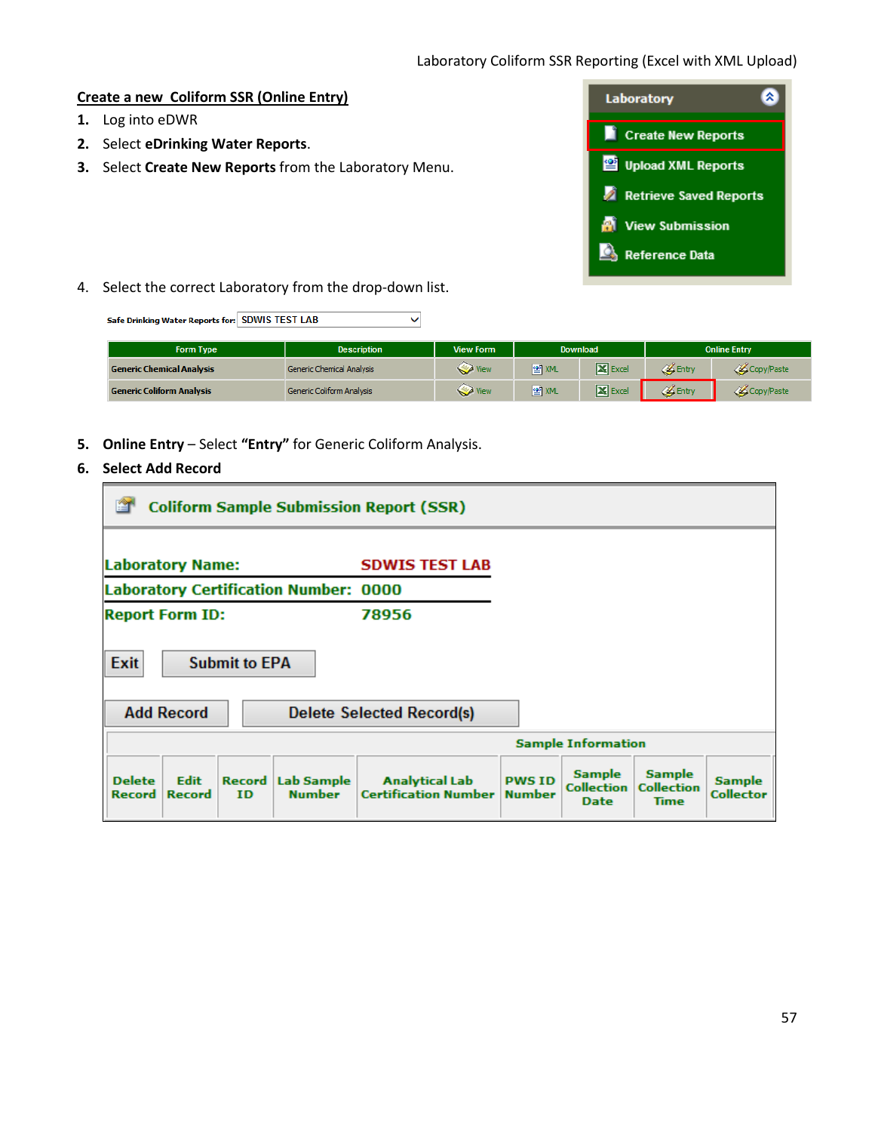### **Create a new Coliform SSR (Online Entry)**

- **1.** Log into eDWR
- **2.** Select **eDrinking Water Reports**.
- **3.** Select **Create New Reports** from the Laboratory Menu.



4. Select the correct Laboratory from the drop-down list.

| Safe Drinking Water Reports for: SDWIS TEST LAB |                                  |                  |       |                |                     |            |  |  |  |
|-------------------------------------------------|----------------------------------|------------------|-------|----------------|---------------------|------------|--|--|--|
| <b>Form Type</b>                                | <b>Description</b>               | <b>View Form</b> |       | Download       | <b>Online Entry</b> |            |  |  |  |
| <b>Generic Chemical Analysis</b>                | <b>Generic Chemical Analysis</b> | View             | ≌ XML | <b>X</b> Excel | Entry               | Copy/Paste |  |  |  |
| <b>Generic Coliform Analysis</b>                | Generic Coliform Analysis        | View             | ≌ XML | $X$ Excel      | Entry               | Copy/Paste |  |  |  |

- **5. Online Entry** Select **"Entry"** for Generic Coliform Analysis.
- **6. Select Add Record**

| <b>Coliform Sample Submission Report (SSR)</b>                                               |                                                                                     |                                |                                            |                                                   |                                   |  |  |  |  |  |
|----------------------------------------------------------------------------------------------|-------------------------------------------------------------------------------------|--------------------------------|--------------------------------------------|---------------------------------------------------|-----------------------------------|--|--|--|--|--|
| <b>Laboratory Name:</b><br><b>SDWIS TEST LAB</b>                                             |                                                                                     |                                |                                            |                                                   |                                   |  |  |  |  |  |
| <b>Laboratory Certification Number: 0000</b>                                                 |                                                                                     |                                |                                            |                                                   |                                   |  |  |  |  |  |
| <b>Report Form ID:</b>                                                                       | 78956                                                                               |                                |                                            |                                                   |                                   |  |  |  |  |  |
| Exit<br><b>Submit to EPA</b><br><b>Add Record</b>                                            | Delete Selected Record(s)                                                           |                                |                                            |                                                   |                                   |  |  |  |  |  |
|                                                                                              |                                                                                     | <b>Sample Information</b>      |                                            |                                                   |                                   |  |  |  |  |  |
| <b>Delete</b><br><b>Edit</b><br><b>Record</b><br><b>Record</b><br><b>Record</b><br><b>ID</b> | <b>Analytical Lab</b><br>Lab Sample<br><b>Certification Number</b><br><b>Number</b> | <b>PWS ID</b><br><b>Number</b> | <b>Sample</b><br><b>Collection</b><br>Date | <b>Sample</b><br><b>Collection</b><br><b>Time</b> | <b>Sample</b><br><b>Collector</b> |  |  |  |  |  |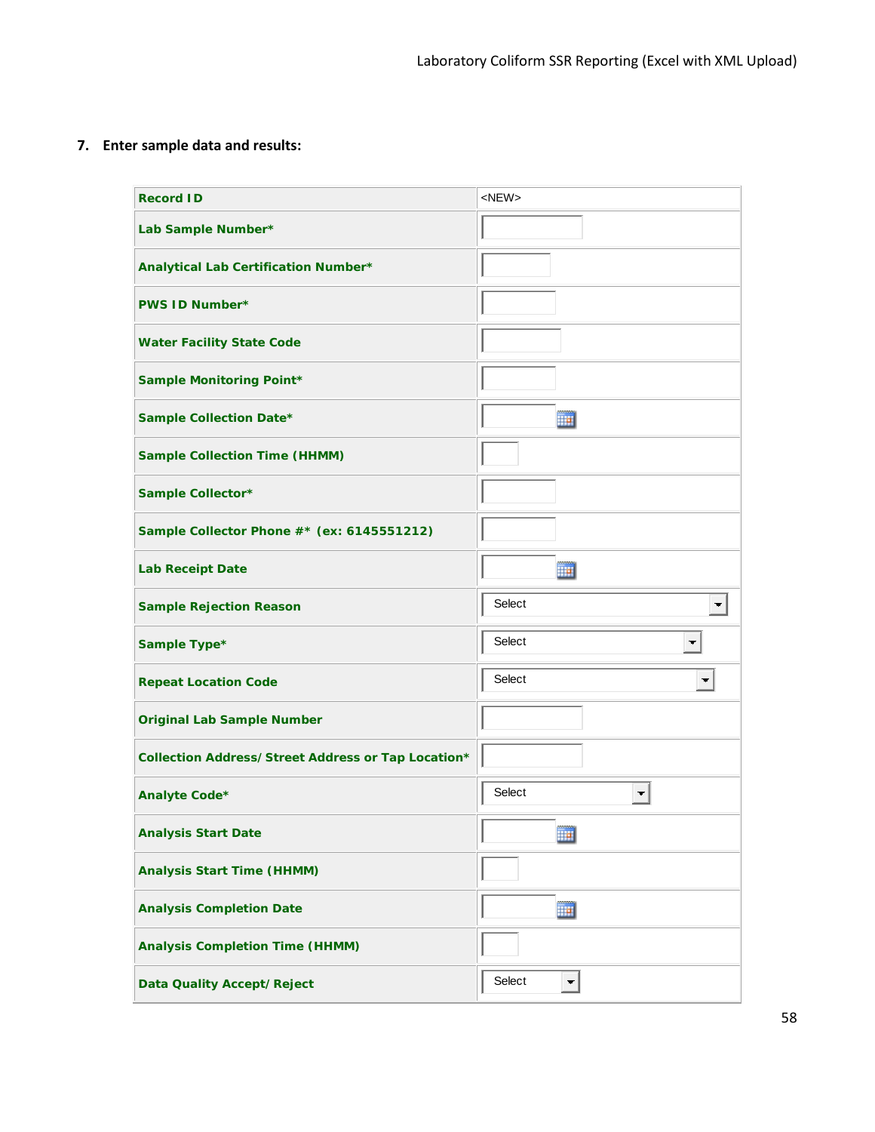**7. Enter sample data and results:**

| <b>Record ID</b>                                   | $<$ NEW $>$              |
|----------------------------------------------------|--------------------------|
| Lab Sample Number*                                 |                          |
| Analytical Lab Certification Number*               |                          |
| <b>PWS ID Number*</b>                              |                          |
| <b>Water Facility State Code</b>                   |                          |
| <b>Sample Monitoring Point*</b>                    |                          |
| Sample Collection Date*                            | m                        |
| <b>Sample Collection Time (HHMM)</b>               |                          |
| Sample Collector*                                  |                          |
| Sample Collector Phone #* (ex: 6145551212)         |                          |
| <b>Lab Receipt Date</b>                            | 罰                        |
| <b>Sample Rejection Reason</b>                     | Select                   |
| Sample Type*                                       | Select<br>▼              |
| <b>Repeat Location Code</b>                        | Select<br>$\blacksquare$ |
| <b>Original Lab Sample Number</b>                  |                          |
| Collection Address/Street Address or Tap Location* |                          |
| Analyte Code*                                      | Select<br>₩              |
| <b>Analysis Start Date</b>                         | <u>mm</u><br><b>HH</b>   |
| <b>Analysis Start Time (HHMM)</b>                  |                          |
| <b>Analysis Completion Date</b>                    | 靊                        |
| <b>Analysis Completion Time (HHMM)</b>             |                          |
|                                                    |                          |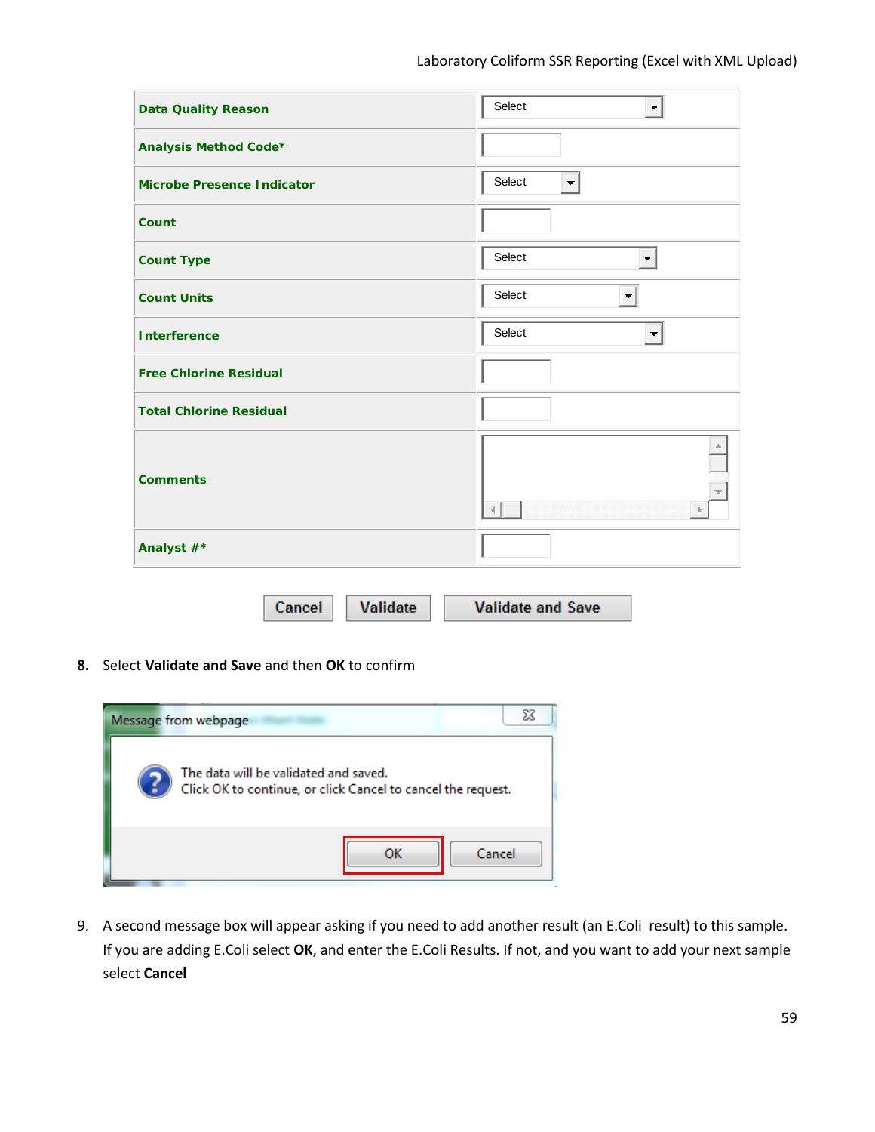| <b>Data Quality Reason</b>        | Select<br>$\blacksquare$             |
|-----------------------------------|--------------------------------------|
| Analysis Method Code*             |                                      |
| <b>Microbe Presence Indicator</b> | Select<br>$\blacksquare$             |
| Count                             |                                      |
| <b>Count Type</b>                 | Select<br>$\blacksquare$             |
| <b>Count Units</b>                | Select<br>$\overline{\phantom{a}}$   |
| <b>Interference</b>               | Select<br>$\blacksquare$             |
| <b>Free Chlorine Residual</b>     |                                      |
| <b>Total Chlorine Residual</b>    |                                      |
| <b>Comments</b>                   | $\left\vert \mathbf{p}\right\rangle$ |
| Analyst #*                        |                                      |

Cancel Validate **Validate and Save** 

**8.** Select **Validate and Save** and then **OK** to confirm



9. A second message box will appear asking if you need to add another result (an E.Coli result) to this sample. If you are adding E.Coli select **OK**, and enter the E.Coli Results. If not, and you want to add your next sample select **Cancel**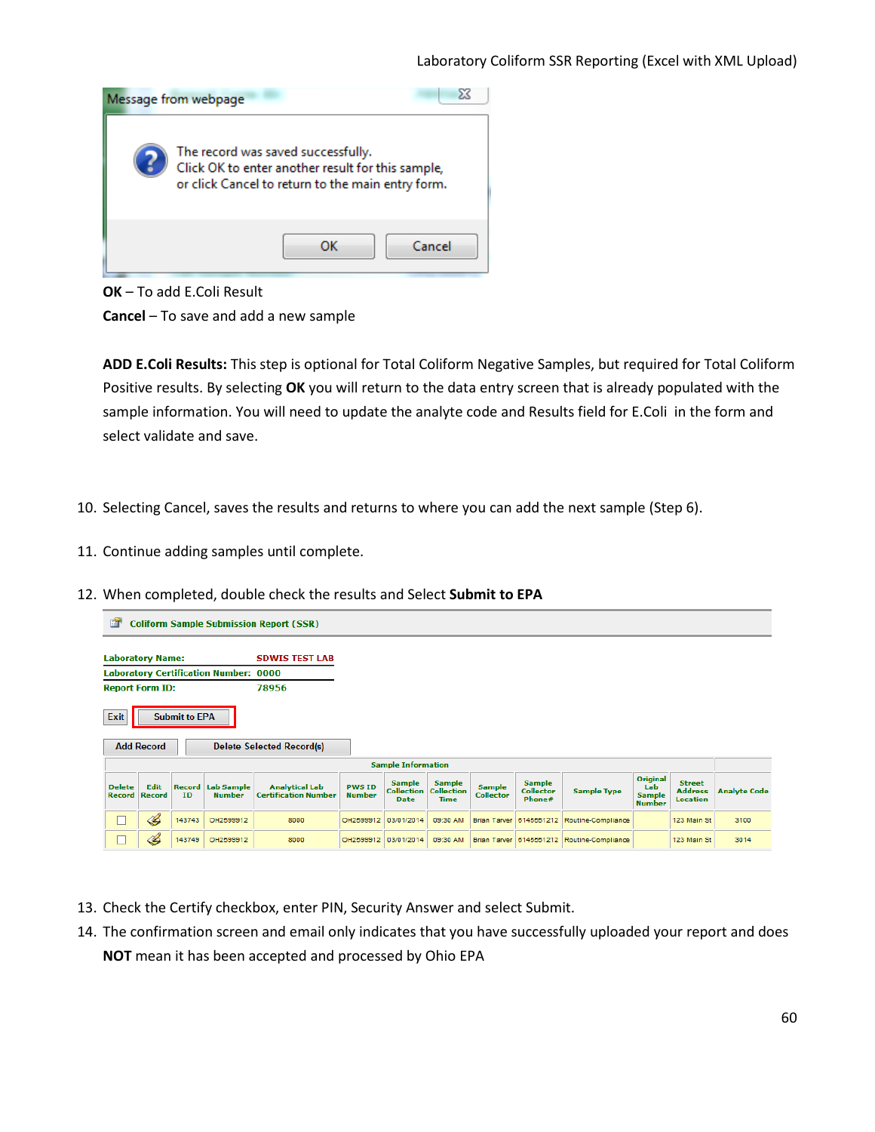

**OK** – To add E.Coli Result

**Cancel** – To save and add a new sample

**ADD E.Coli Results:** This step is optional for Total Coliform Negative Samples, but required for Total Coliform Positive results. By selecting **OK** you will return to the data entry screen that is already populated with the sample information. You will need to update the analyte code and Results field for E.Coli in the form and select validate and save.

- 10. Selecting Cancel, saves the results and returns to where you can add the next sample (Step 6).
- 11. Continue adding samples until complete.
- 12. When completed, double check the results and Select **Submit to EPA**

| 图                                                | <b>Coliform Sample Submission Report (SSR)</b>                                                             |        |                                              |                                                      |                                |                                                   |                                                   |                                   |                                             |                                            |                                                   |                                                    |                     |
|--------------------------------------------------|------------------------------------------------------------------------------------------------------------|--------|----------------------------------------------|------------------------------------------------------|--------------------------------|---------------------------------------------------|---------------------------------------------------|-----------------------------------|---------------------------------------------|--------------------------------------------|---------------------------------------------------|----------------------------------------------------|---------------------|
| <b>Laboratory Name:</b><br><b>SDWIS TEST LAB</b> |                                                                                                            |        |                                              |                                                      |                                |                                                   |                                                   |                                   |                                             |                                            |                                                   |                                                    |                     |
|                                                  |                                                                                                            |        | <b>Laboratory Certification Number: 0000</b> |                                                      |                                |                                                   |                                                   |                                   |                                             |                                            |                                                   |                                                    |                     |
| <b>Report Form ID:</b>                           |                                                                                                            |        |                                              | 78956                                                |                                |                                                   |                                                   |                                   |                                             |                                            |                                                   |                                                    |                     |
| Exit                                             | <b>Submit to EPA</b><br><b>Add Record</b><br><b>Delete Selected Record(s)</b><br><b>Sample Information</b> |        |                                              |                                                      |                                |                                                   |                                                   |                                   |                                             |                                            |                                                   |                                                    |                     |
| <b>Delete</b><br><b>Record</b>                   | Edit<br><b>Record</b>                                                                                      | ID     | <b>Record Lab Sample</b><br><b>Number</b>    | <b>Analytical Lab</b><br><b>Certification Number</b> | <b>PWS ID</b><br><b>Number</b> | <b>Sample</b><br><b>Collection</b><br><b>Date</b> | <b>Sample</b><br><b>Collection</b><br><b>Time</b> | <b>Sample</b><br><b>Collector</b> | <b>Sample</b><br><b>Collector</b><br>Phone# | <b>Sample Type</b>                         | Original<br>Lab<br><b>Sample</b><br><b>Number</b> | <b>Street</b><br><b>Address</b><br><b>Location</b> | <b>Analyte Code</b> |
|                                                  | B                                                                                                          | 143743 | OH2599912                                    | 8000                                                 | OH2599912                      | 03/01/2014                                        | 09:30 AM                                          |                                   | Brian Tarver 6145551212                     | Routine-Compliance                         |                                                   | 123 Main St                                        | 3100                |
|                                                  | B                                                                                                          | 143749 | OH2599912                                    | 8000                                                 | OH2599912                      | 03/01/2014                                        | 09:30 AM                                          |                                   |                                             | Brian Tarver 6145551212 Routine-Compliance |                                                   | 123 Main St                                        | 3014                |

- 13. Check the Certify checkbox, enter PIN, Security Answer and select Submit.
- 14. The confirmation screen and email only indicates that you have successfully uploaded your report and does **NOT** mean it has been accepted and processed by Ohio EPA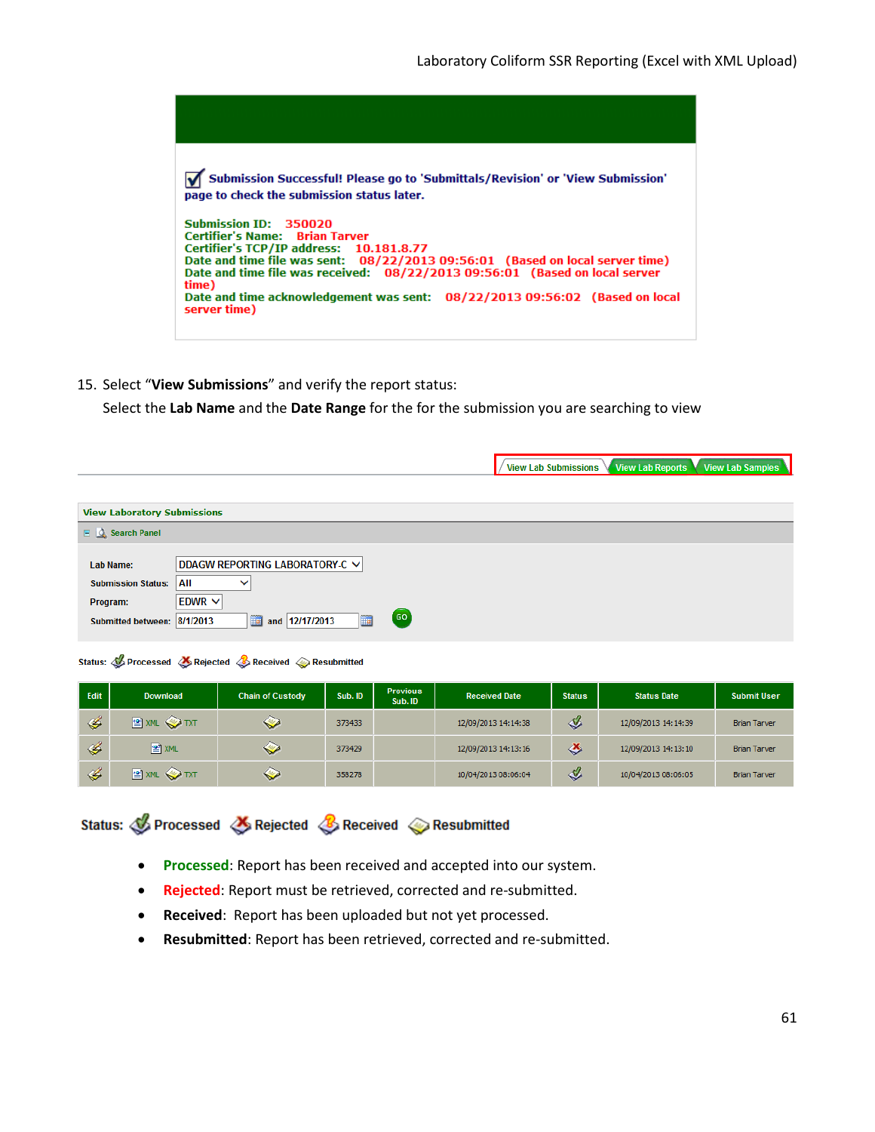

15. Select "**View Submissions**" and verify the report status:

Select the **Lab Name** and the **Date Range** for the for the submission you are searching to view

|                                                                                                                                                                                          | View Lab Reports View Lab Samples<br>View Lab Submissions |
|------------------------------------------------------------------------------------------------------------------------------------------------------------------------------------------|-----------------------------------------------------------|
|                                                                                                                                                                                          |                                                           |
| <b>View Laboratory Submissions</b>                                                                                                                                                       |                                                           |
| $\Box$ Search Panel                                                                                                                                                                      |                                                           |
| DDAGW REPORTING LABORATORY-C V<br>Lab Name:<br>All<br><b>Submission Status:</b><br>$\checkmark$<br>$EDWR$ $\vee$<br>Program:<br>GO<br>and 12/17/2013<br>Submitted between: 8/1/2013<br>画 |                                                           |

Status: *S* Processed & Rejected & Received & Resubmitted

| Edit          | <b>Download</b> | <b>Chain of Custody</b> | Sub. ID | <b>Previous</b><br>Sub. ID | <b>Received Date</b> | <b>Status</b> | <b>Status Date</b>  | <b>Submit User</b>  |
|---------------|-----------------|-------------------------|---------|----------------------------|----------------------|---------------|---------------------|---------------------|
| $\mathscr{L}$ | <b>EXML</b> TXT | ❤                       | 373433  |                            | 12/09/2013 14:14:38  | ℐ             | 12/09/2013 14:14:39 | <b>Brian Tarver</b> |
| $\mathscr{A}$ | 图 XML           | ❤                       | 373429  |                            | 12/09/2013 14:13:16  | ♨             | 12/09/2013 14:13:10 | <b>Brian Tarver</b> |
| $\mathscr{L}$ | <b>EXML</b> TXT | ❤                       | 358278  |                            | 10/04/2013 08:06:04  | ℐ             | 10/04/2013 08:06:05 | <b>Brian Tarver</b> |

Status: C Processed & Rejected & Received & Resubmitted

- **Processed**: Report has been received and accepted into our system.
- **Rejected**: Report must be retrieved, corrected and re-submitted.
- **Received**: Report has been uploaded but not yet processed.
- **Resubmitted**: Report has been retrieved, corrected and re-submitted.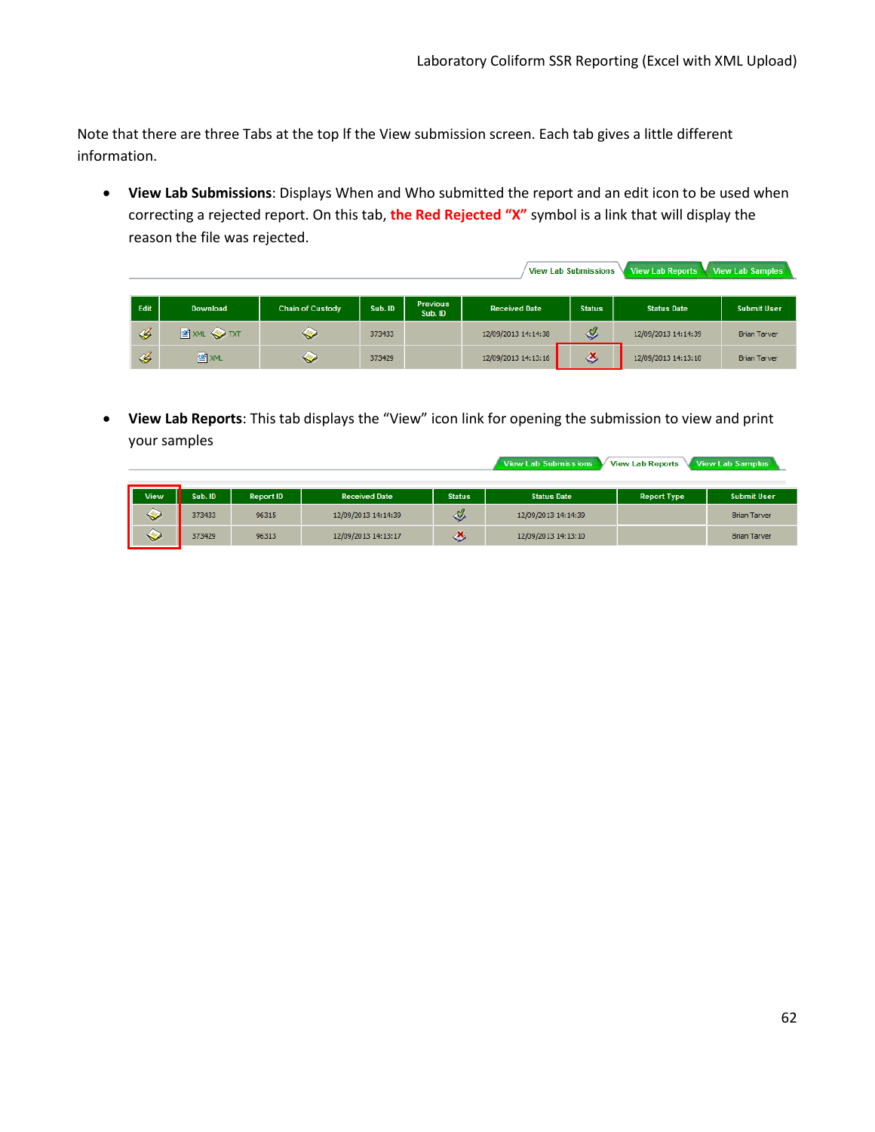View Lab Submissions View Lab Reports View Lab Samples

View Lab Submissions View Lab Reports View Lab Samples

Note that there are three Tabs at the top lf the View submission screen. Each tab gives a little different information.

• **View Lab Submissions**: Displays When and Who submitted the report and an edit icon to be used when correcting a rejected report. On this tab, **the Red Rejected "X"** symbol is a link that will display the reason the file was rejected.

| Edit          | <b>Download</b>      | <b>Chain of Custody</b> | Sub. ID | <b>Previous</b><br>Sub. ID | <b>Received Date</b> | <b>Status</b> | <b>Status Date</b>  | <b>Submit User</b>  |
|---------------|----------------------|-------------------------|---------|----------------------------|----------------------|---------------|---------------------|---------------------|
| 4             | <b>SE XML OF TXT</b> | ❤                       | 373433  |                            | 12/09/2013 14:14:38  | ℐ             | 12/09/2013 14:14:39 | <b>Brian Tarver</b> |
| $\mathscr{C}$ | ≌ XML                | ❤                       | 373429  |                            | 12/09/2013 14:13:16  | ♨             | 12/09/2013 14:13:10 | <b>Brian Tarver</b> |

• **View Lab Reports**: This tab displays the "View" icon link for opening the submission to view and print your samples

| <b>View</b> | Sub. ID | <b>Report ID</b> | <b>Received Date</b> | <b>Status</b> | <b>Status Date</b>  | <b>Report Type</b> | <b>Submit User</b>  |
|-------------|---------|------------------|----------------------|---------------|---------------------|--------------------|---------------------|
| $\sim$      | 373433  | 96315            | 12/09/2013 14:14:39  | $\mathcal{Q}$ | 12/09/2013 14:14:39 |                    | <b>Brian Tarver</b> |
| $\sim$      | 373429  | 96313            | 12/09/2013 14:13:17  | ◇             | 12/09/2013 14:13:10 |                    | <b>Brian Tarver</b> |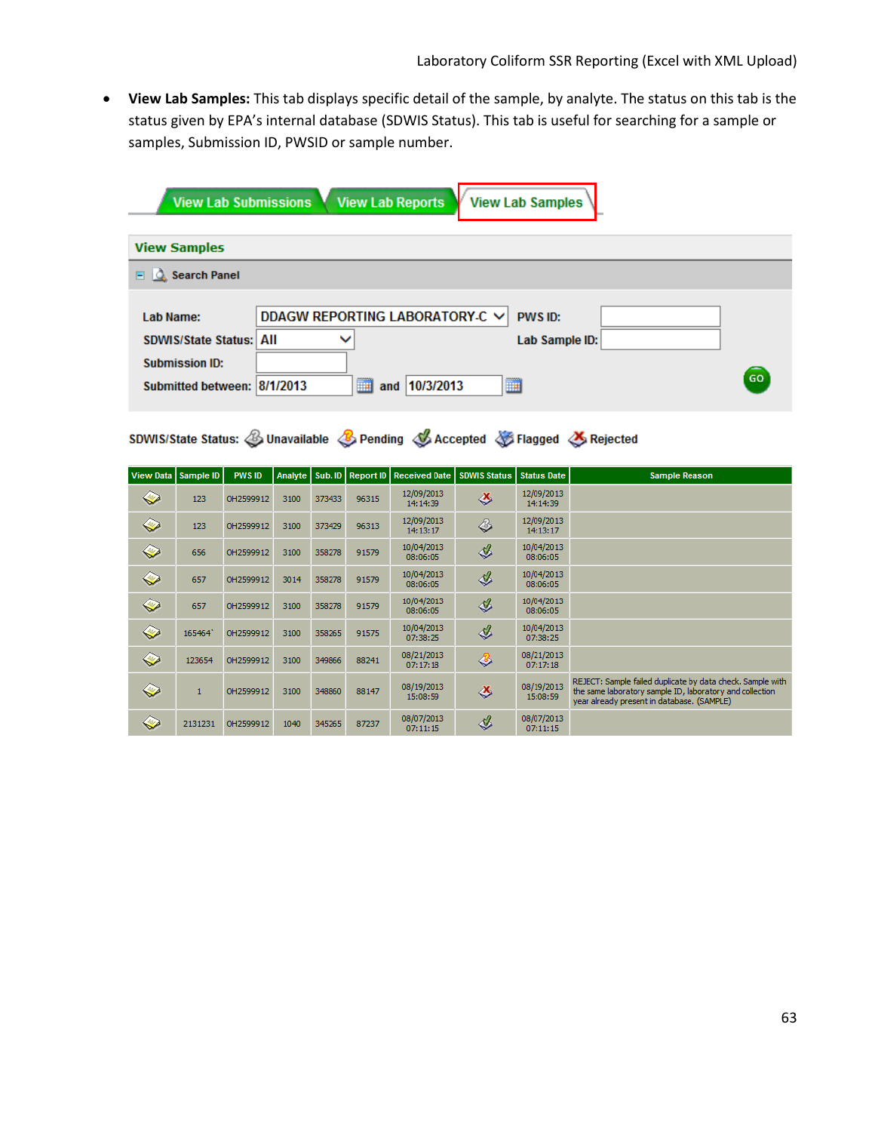• **View Lab Samples:** This tab displays specific detail of the sample, by analyte. The status on this tab is the status given by EPA's internal database (SDWIS Status). This tab is useful for searching for a sample or samples, Submission ID, PWSID or sample number.

| <b>View Lab Submissions</b>    | <b>View Lab Reports</b><br><b>View Lab Samples</b> |  |
|--------------------------------|----------------------------------------------------|--|
| <b>View Samples</b>            |                                                    |  |
| $\Box$ $\Diamond$ Search Panel |                                                    |  |
|                                |                                                    |  |
| Lab Name:                      | DDAGW REPORTING LABORATORY C V<br>PWS ID:          |  |
| <b>SDWIS/State Status: All</b> | Lab Sample ID:<br>$\checkmark$                     |  |
| <b>Submission ID:</b>          |                                                    |  |
| Submitted between: 8/1/2013    | GO<br><b>III</b><br>H<br>10/3/2013<br>and          |  |

SDWIS/State Status: SUnavailable SPending SAccepted SFlagged SRejected

| View Data   Sample ID |         | <b>PWS ID</b> | <b>Analyte</b> | Sub. ID | Report ID | <b>Received Date</b>   | <b>SDWIS Status</b> | Status Date            | <b>Sample Reason</b>                                                                                                                                                 |
|-----------------------|---------|---------------|----------------|---------|-----------|------------------------|---------------------|------------------------|----------------------------------------------------------------------------------------------------------------------------------------------------------------------|
| ❤                     | 123     | OH2599912     | 3100           | 373433  | 96315     | 12/09/2013<br>14:14:39 | ц                   | 12/09/2013<br>14:14:39 |                                                                                                                                                                      |
| ◇                     | 123     | OH2599912     | 3100           | 373429  | 96313     | 12/09/2013<br>14:13:17 | ◈                   | 12/09/2013<br>14:13:17 |                                                                                                                                                                      |
| ❤                     | 656     | OH2599912     | 3100           | 358278  | 91579     | 10/04/2013<br>08:06:05 | ℐ                   | 10/04/2013<br>08:06:05 |                                                                                                                                                                      |
| ❤                     | 657     | OH2599912     | 3014           | 358278  | 91579     | 10/04/2013<br>08:06:05 | ${\mathcal{Q}}$     | 10/04/2013<br>08:06:05 |                                                                                                                                                                      |
| ❤                     | 657     | OH2599912     | 3100           | 358278  | 91579     | 10/04/2013<br>08:06:05 | $\mathcal{Q}$       | 10/04/2013<br>08:06:05 |                                                                                                                                                                      |
| ◇                     | 165464  | OH2599912     | 3100           | 358265  | 91575     | 10/04/2013<br>07:38:25 | ${\mathcal{Q}}$     | 10/04/2013<br>07:38:25 |                                                                                                                                                                      |
| ❤                     | 123654  | OH2599912     | 3100           | 349866  | 88241     | 08/21/2013<br>07:17:18 | €                   | 08/21/2013<br>07:17:18 |                                                                                                                                                                      |
| ❤                     |         | OH2599912     | 3100           | 348860  | 88147     | 08/19/2013<br>15:08:59 | ц                   | 08/19/2013<br>15:08:59 | REJECT: Sample failed duplicate by data check. Sample with<br>the same laboratory sample ID, laboratory and collection<br>year already present in database. (SAMPLE) |
| ❤                     | 2131231 | OH2599912     | 1040           | 345265  | 87237     | 08/07/2013<br>07:11:15 | ℐ                   | 08/07/2013<br>07:11:15 |                                                                                                                                                                      |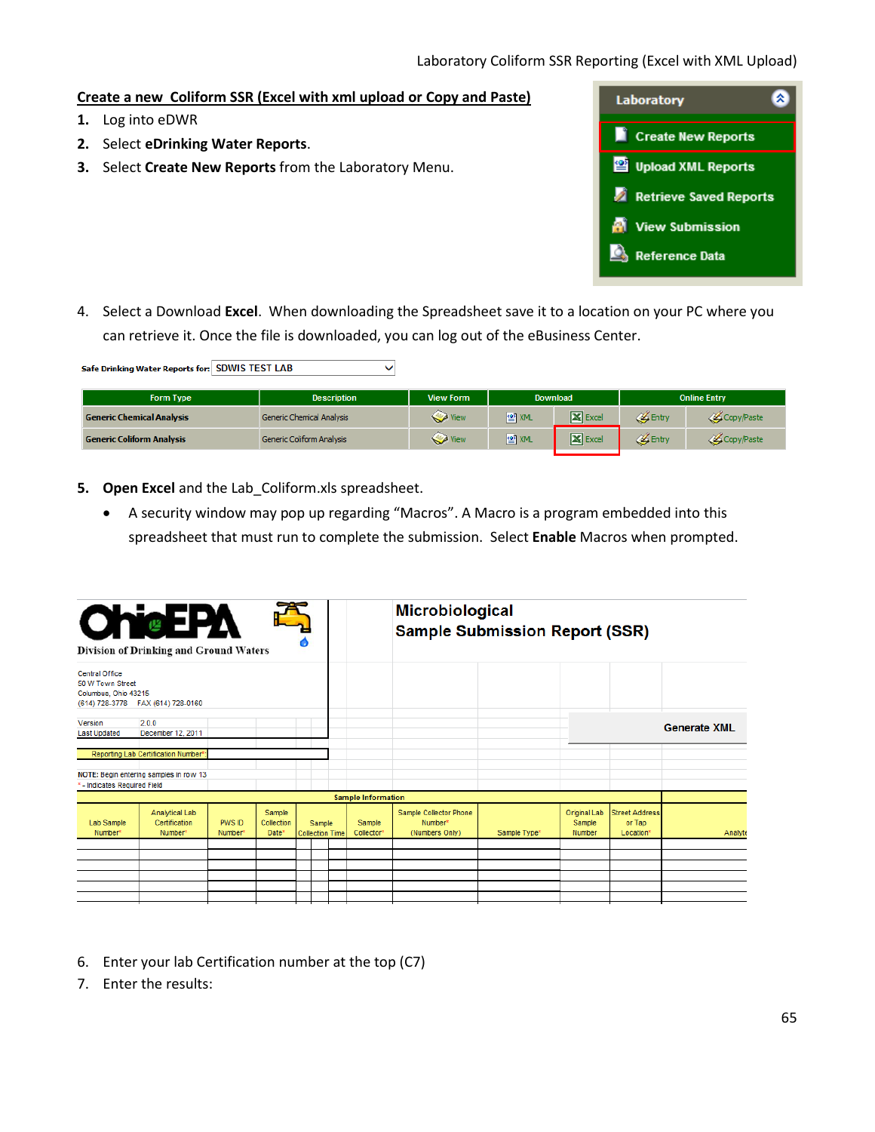### **Create a new Coliform SSR (Excel with xml upload or Copy and Paste)**

- **1.** Log into eDWR
- **2.** Select **eDrinking Water Reports**.
- **3.** Select **Create New Reports** from the Laboratory Menu.



4. Select a Download **Excel**. When downloading the Spreadsheet save it to a location on your PC where you can retrieve it. Once the file is downloaded, you can log out of the eBusiness Center.

| Safe Drinking Water Reports for: SDWIS TEST LAB |                                  |                  |              |                    |       |                     |  |  |  |  |  |
|-------------------------------------------------|----------------------------------|------------------|--------------|--------------------|-------|---------------------|--|--|--|--|--|
| <b>Form Type</b>                                | <b>Description</b>               | <b>View Form</b> | Download     |                    |       | <b>Online Entry</b> |  |  |  |  |  |
| <b>Generic Chemical Analysis</b>                | <b>Generic Chemical Analysis</b> | View             | 图 XML        | <b>X</b> Excel     | Entry | Copy/Paste          |  |  |  |  |  |
| <b>Generic Coliform Analysis</b>                | <b>Generic Coliform Analysis</b> | View             | <b>图</b> XML | $\mathbf{X}$ Excel | Entry | Copy/Paste          |  |  |  |  |  |

- **5. Open Excel** and the Lab\_Coliform.xls spreadsheet.
	- A security window may pop up regarding "Macros". A Macro is a program embedded into this spreadsheet that must run to complete the submission. Select **Enable** Macros when prompted.

| <b>ChieEPA</b><br><b>Division of Drinking and Ground Waters</b> |                                            |                   |                               |  |                                  |  |                           | <b>Microbiological</b><br><b>Sample Submission Report (SSR)</b> |              |                                         |                                              |                     |  |  |
|-----------------------------------------------------------------|--------------------------------------------|-------------------|-------------------------------|--|----------------------------------|--|---------------------------|-----------------------------------------------------------------|--------------|-----------------------------------------|----------------------------------------------|---------------------|--|--|
| Central Office<br>50 W Town Street<br>Columbus, Ohio 43215      | (614) 728-3778  FAX (614) 728-0160         |                   |                               |  |                                  |  |                           |                                                                 |              |                                         |                                              |                     |  |  |
| Version<br><b>Last Updated</b>                                  | 2.0.0<br>December 12, 2011                 |                   |                               |  |                                  |  |                           |                                                                 |              |                                         |                                              | <b>Generate XML</b> |  |  |
|                                                                 | Reporting Lab Certification Number*:       |                   |                               |  |                                  |  |                           |                                                                 |              |                                         |                                              |                     |  |  |
| * - Indicates Required Field                                    | NOTE: Begin entering samples in row 13     |                   |                               |  |                                  |  |                           |                                                                 |              |                                         |                                              |                     |  |  |
|                                                                 |                                            |                   |                               |  |                                  |  | <b>Sample Information</b> |                                                                 |              |                                         |                                              |                     |  |  |
| Lab Sample<br>Number*                                           | Analytical Lab<br>Certification<br>Number* | PWS ID<br>Number* | Sample<br>Collection<br>Date* |  | Sample<br><b>Collection Time</b> |  | Sample<br>Collector*      | Sample Collector Phone<br>Number*<br>(Numbers Only)             | Sample Type* | <b>Original Lab</b><br>Sample<br>Number | <b>Street Address</b><br>or Tap<br>Location* | Analyte             |  |  |
|                                                                 |                                            |                   |                               |  |                                  |  |                           |                                                                 |              |                                         |                                              |                     |  |  |
|                                                                 |                                            |                   |                               |  |                                  |  |                           |                                                                 |              |                                         |                                              |                     |  |  |
|                                                                 |                                            |                   |                               |  |                                  |  |                           |                                                                 |              |                                         |                                              |                     |  |  |
|                                                                 |                                            |                   |                               |  |                                  |  |                           |                                                                 |              |                                         |                                              |                     |  |  |
|                                                                 |                                            |                   |                               |  |                                  |  |                           |                                                                 |              |                                         |                                              |                     |  |  |

- 6. Enter your lab Certification number at the top (C7)
- 7. Enter the results: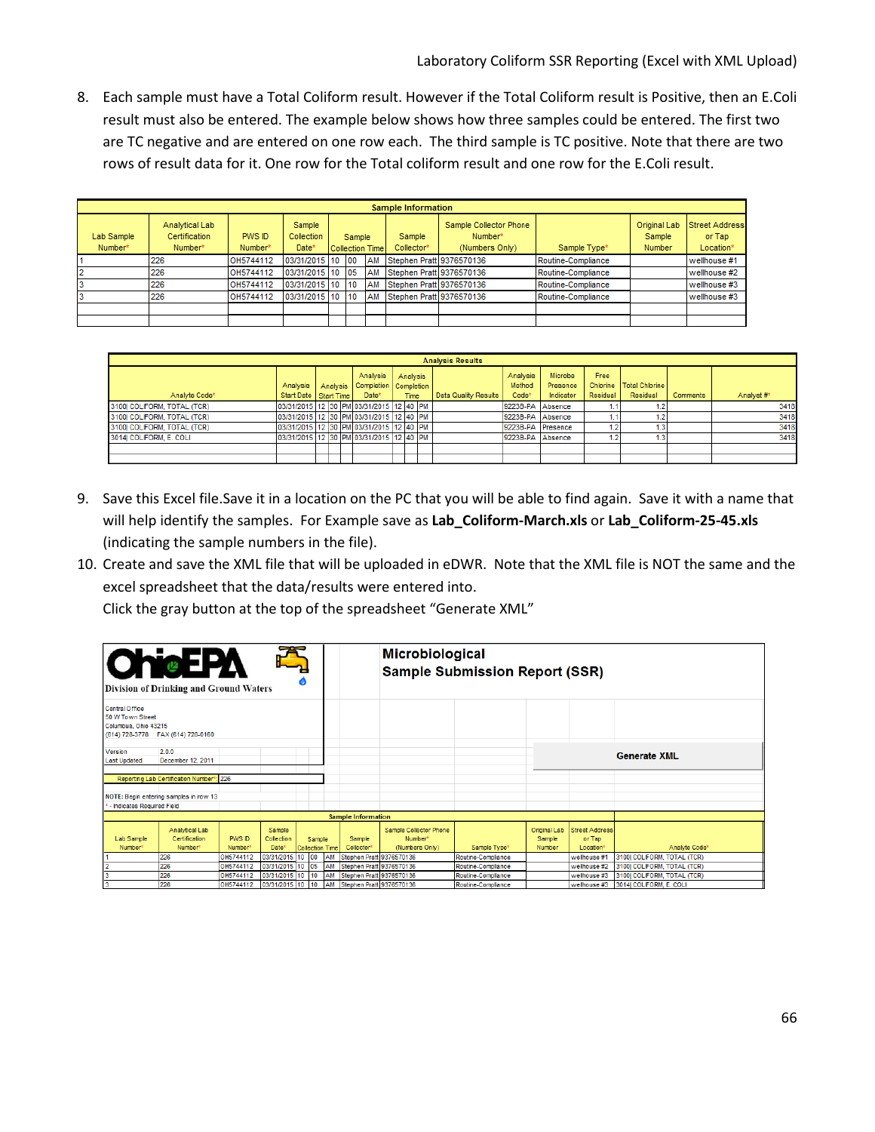8. Each sample must have a Total Coliform result. However if the Total Coliform result is Positive, then an E.Coli result must also be entered. The example below shows how three samples could be entered. The first two are TC negative and are entered on one row each. The third sample is TC positive. Note that there are two rows of result data for it. One row for the Total coliform result and one row for the E.Coli result.

|                       | <b>Sample Information</b>                  |                   |                               |  |        |                        |                          |                                                                 |                    |                                  |                                              |  |  |  |
|-----------------------|--------------------------------------------|-------------------|-------------------------------|--|--------|------------------------|--------------------------|-----------------------------------------------------------------|--------------------|----------------------------------|----------------------------------------------|--|--|--|
| Lab Sample<br>Number* | Analytical Lab<br>Certification<br>Number* | PWS ID<br>Number* | Sample<br>Collection<br>Date* |  | Sample | <b>Collection Time</b> | Sample<br>Collector*     | Sample Collector Phone<br>Number <sup>*</sup><br>(Numbers Only) | Sample Type*       | Original Lab<br>Sample<br>Number | <b>Street Address</b><br>or Tap<br>Location* |  |  |  |
|                       | 226                                        | OH5744112         | 03/31/2015 10 00              |  |        | <b>AM</b>              | Stephen Pratt 9376570136 |                                                                 | Routine-Compliance |                                  | wellhouse #1                                 |  |  |  |
|                       | 226                                        | OH5744112         | 03/31/2015 10 05              |  |        | AM                     | Stephen Pratt 9376570136 |                                                                 | Routine-Compliance |                                  | wellhouse #2                                 |  |  |  |
|                       | 226                                        | OH5744112         | 03/31/2015 10 10              |  |        | AM                     | Stephen Pratt 9376570136 |                                                                 | Routine-Compliance |                                  | wellhouse #3                                 |  |  |  |
|                       | 226                                        | OH5744112         | 03/31/2015 10 10              |  |        | AM                     | Stephen Pratt 9376570136 |                                                                 | Routine-Compliance |                                  | wellhouse #3                                 |  |  |  |
|                       |                                            |                   |                               |  |        |                        |                          |                                                                 |                    |                                  |                                              |  |  |  |
|                       |                                            |                   |                               |  |        |                        |                          |                                                                 |                    |                                  |                                              |  |  |  |

|                             | <b>Analysis Results</b> |  |  |  |                                                                      |  |      |          |                             |                                         |                                         |                  |                                         |                 |            |
|-----------------------------|-------------------------|--|--|--|----------------------------------------------------------------------|--|------|----------|-----------------------------|-----------------------------------------|-----------------------------------------|------------------|-----------------------------------------|-----------------|------------|
| Analyte Code*               | Start Date Start Time   |  |  |  | Analysis<br>Analysis   Analysis   Completion   Completion  <br>Date* |  | Time | Analysis | <b>Data Quality Results</b> | Analysis<br>Method<br>Code <sup>*</sup> | <b>Microbe</b><br>Presence<br>Indicator | Free<br>Residual | Chlorine   Total Chlorine  <br>Residual | <b>Comments</b> | Analyst #* |
| 3100 COLIFORM, TOTAL (TCR)  |                         |  |  |  | 03/31/2015 12 30 PM 03/31/2015 12 40 PM                              |  |      |          |                             | 9223B-PA Absence                        |                                         |                  |                                         |                 | 3418       |
| 3100I COLIFORM, TOTAL (TCR) |                         |  |  |  | 03/31/2015 12 30 PM 03/31/2015 12 40 PM                              |  |      |          |                             | 9223B-PA Absence                        |                                         |                  |                                         |                 | 3418       |
| 3100 COLIFORM, TOTAL (TCR)  |                         |  |  |  | 03/31/2015 12 30 PM 03/31/2015 12 40 PM                              |  |      |          |                             | 9223B-PA Presence                       |                                         |                  |                                         |                 | 3418       |
| 3014I COLIFORM, E. COLI     |                         |  |  |  | 03/31/2015 12 30 PM 03/31/2015 12 40 PM                              |  |      |          |                             | 9223B-PA Absence                        |                                         |                  | $\mathbf{3}$                            |                 | 3418       |
|                             |                         |  |  |  |                                                                      |  |      |          |                             |                                         |                                         |                  |                                         |                 |            |
|                             |                         |  |  |  |                                                                      |  |      |          |                             |                                         |                                         |                  |                                         |                 |            |

- 9. Save this Excel file.Save it in a location on the PC that you will be able to find again. Save it with a name that will help identify the samples. For Example save as **Lab\_Coliform-March.xls** or **Lab\_Coliform-25-45.xls** (indicating the sample numbers in the file).
- 10. Create and save the XML file that will be uploaded in eDWR. Note that the XML file is NOT the same and the excel spreadsheet that the data/results were entered into.

Click the gray button at the top of the spreadsheet "Generate XML"

| <b>ChicEPX</b><br><b>Division of Drinking and Ground Waters</b>   |                                            |                                      |                                           |                 |          |                                                      | <b>Microbiological</b><br><b>Sample Submission Report (SSR)</b> |                                          |                                                |                                              |                                                        |  |
|-------------------------------------------------------------------|--------------------------------------------|--------------------------------------|-------------------------------------------|-----------------|----------|------------------------------------------------------|-----------------------------------------------------------------|------------------------------------------|------------------------------------------------|----------------------------------------------|--------------------------------------------------------|--|
| <b>Central Office</b><br>50 W Town Street<br>Columbus, Ohio 43215 | (614) 728-3778  FAX (614) 728-0160         |                                      |                                           |                 |          |                                                      |                                                                 |                                          |                                                |                                              |                                                        |  |
| Version<br><b>Last Updated</b>                                    | 2.0.0<br>December 12, 2011                 |                                      |                                           |                 |          |                                                      |                                                                 |                                          |                                                |                                              | <b>Generate XML</b>                                    |  |
|                                                                   | Reporting Lab Certification Number*: 226   |                                      |                                           |                 |          |                                                      |                                                                 |                                          |                                                |                                              |                                                        |  |
| - Indicates Required Field                                        | NOTE: Begin entering samples in row 13     |                                      |                                           |                 |          |                                                      |                                                                 |                                          |                                                |                                              |                                                        |  |
|                                                                   |                                            |                                      |                                           |                 |          | <b>Sample Information</b>                            |                                                                 |                                          |                                                |                                              |                                                        |  |
| <b>Lab Sample</b><br>Number*                                      | Analytical Lab<br>Certification<br>Number* | <b>PWS ID</b><br>Number <sup>®</sup> | Sample<br>Collection<br>Date <sup>*</sup> | Collection Time | Sample   | Sample<br>Collector*                                 | Sample Collector Phone<br>Number*<br>(Numbers Only)             | Sample Type*                             | <b>Original Lab</b><br>Sample<br><b>Number</b> | <b>Street Address</b><br>or Tap<br>Location* | Analyte Code*                                          |  |
|                                                                   | 226                                        | OH5744112                            | 03/31/2015 10                             | 00              | AM       | Stephen Pratt 9376570136                             |                                                                 | Routine-Compliance                       |                                                | wellhouse #1                                 | 3100 COLIFORM, TOTAL (TCR)                             |  |
|                                                                   | 226                                        | OH5744112<br>OH5744112               | 03/31/2015 10                             | 05              | AM       | Stephen Pratt 9376570136                             |                                                                 | Routine-Compliance                       |                                                | wellhouse #2                                 | 3100 COLIFORM, TOTAL (TCR)                             |  |
|                                                                   | 226<br>226                                 | OH5744112                            | 03/31/2015 10<br>03/31/2015 10 10         | 10              | AM<br>AM | Stephen Pratt 9376570136<br>Stephen Pratt 9376570136 |                                                                 | Routine-Compliance<br>Routine-Compliance |                                                | wellhouse #3<br>wellhouse #3                 | 3100  COLIFORM, TOTAL (TCR)<br>3014  COLIFORM, E. COLI |  |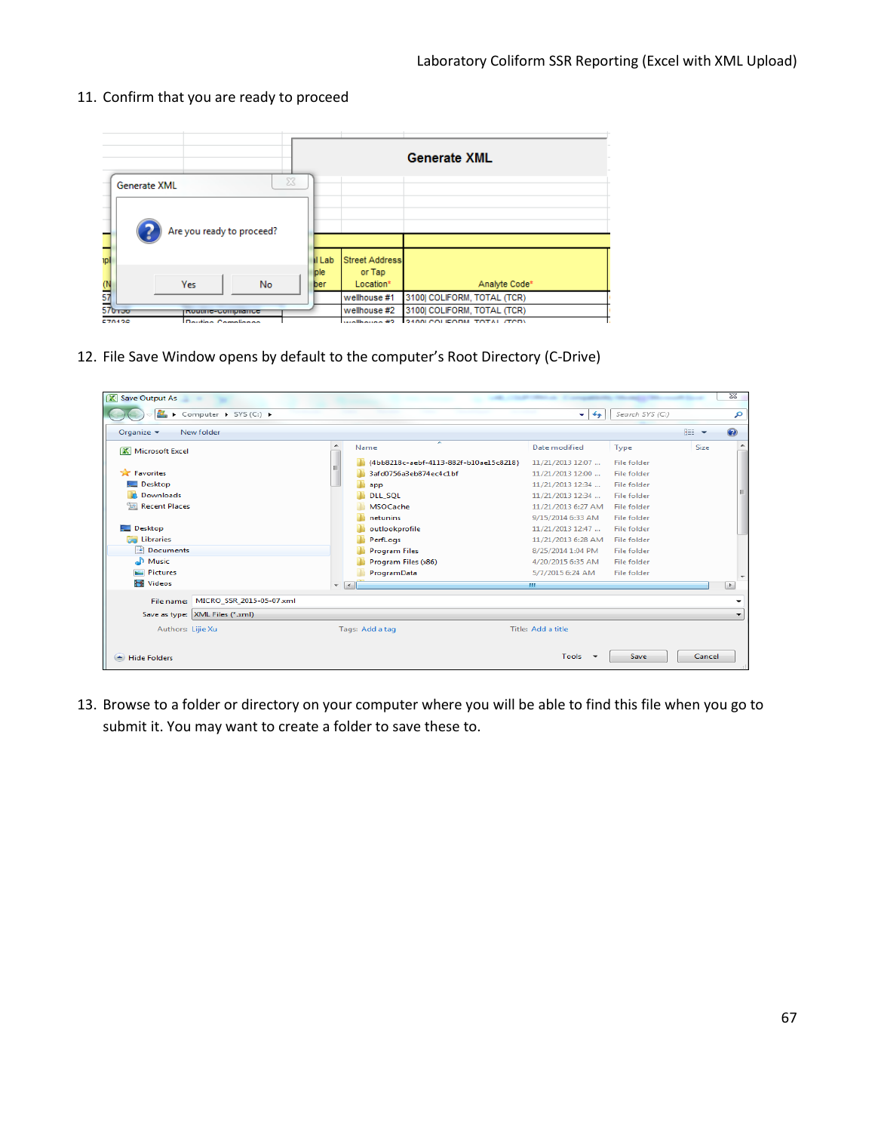- **Generate XML Generate XML** Are you ready to proceed? 디 I Lab Street Address ple or Tap No Location<sup>®</sup> Analyte Code<sup>\*</sup> Yes  $\overline{\mathbb{O}}$ ber 57 wellhouse #1 3100| COLIFORM, TOTAL (TCR) 576wellhouse #2 3100| COLIFORM, TOTAL (TCR) **IRoutine-Compliance**
- 11. Confirm that you are ready to proceed

12. File Save Window opens by default to the computer's Root Directory (C-Drive)



13. Browse to a folder or directory on your computer where you will be able to find this file when you go to submit it. You may want to create a folder to save these to.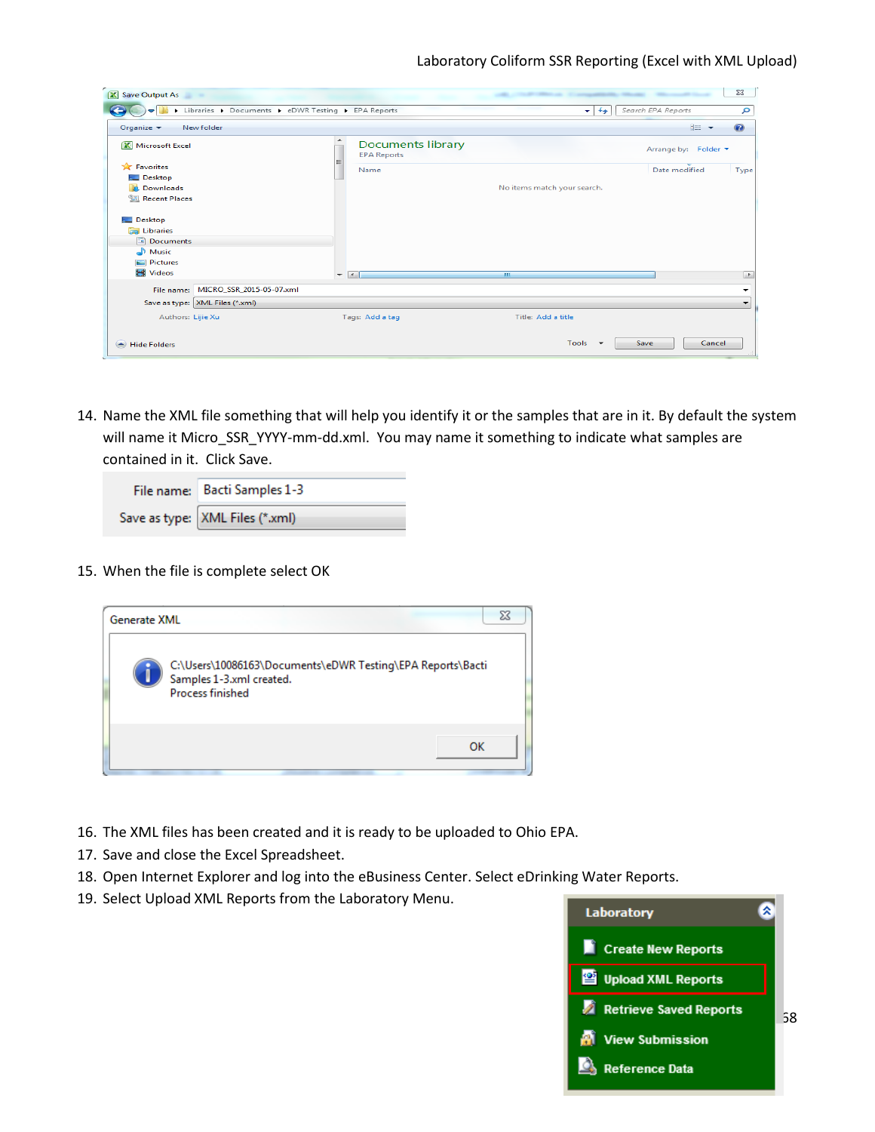| X Save Output As                         |                                                    |                                                     |                             |                      | $\Sigma$ |
|------------------------------------------|----------------------------------------------------|-----------------------------------------------------|-----------------------------|----------------------|----------|
|                                          | Libraries > Documents > eDWR Testing > EPA Reports |                                                     | $+$<br>۰ı                   | Search EPA Reports   | م        |
| Organize $\blacktriangledown$            | New folder                                         |                                                     |                             | <b>图三 →</b>          | $\odot$  |
| Microsoft Excel                          |                                                    | ×<br><b>Documents library</b><br><b>EPA Reports</b> |                             | Arrange by: Folder ▼ |          |
| <b>TA</b> Favorites<br>Desktop           |                                                    | Ξ<br>Name                                           |                             | Date modified        | Type     |
| <b>Downloads</b><br><b>Recent Places</b> |                                                    |                                                     | No items match your search. |                      |          |
| Desktop<br>Libraries<br>ra,<br>Documents |                                                    |                                                     |                             |                      |          |
| Music<br>Pictures<br><b>N</b> Videos     |                                                    | $ -$                                                | $\mathbf{m}$                |                      |          |
|                                          | File name: MICRO_SSR_2015-05-07.xml                |                                                     |                             |                      | ut.      |
|                                          | Save as type: XML Files (*.xml)                    |                                                     |                             |                      | ٠<br>۰   |
| Authors: Lijie Xu                        |                                                    | Tags: Add a tag                                     | Title: Add a title          |                      |          |
| Hide Folders                             |                                                    |                                                     | Tools $\sim$                | Cancel<br>Save       |          |

14. Name the XML file something that will help you identify it or the samples that are in it. By default the system will name it Micro\_SSR\_YYYY-mm-dd.xml. You may name it something to indicate what samples are contained in it. Click Save.

| File name: Bacti Samples 1-3      |
|-----------------------------------|
| Save as type:   XML Files (*.xml) |

15. When the file is complete select OK



- 16. The XML files has been created and it is ready to be uploaded to Ohio EPA.
- 17. Save and close the Excel Spreadsheet.
- 18. Open Internet Explorer and log into the eBusiness Center. Select eDrinking Water Reports.
- 19. Select Upload XML Reports from the Laboratory Menu.

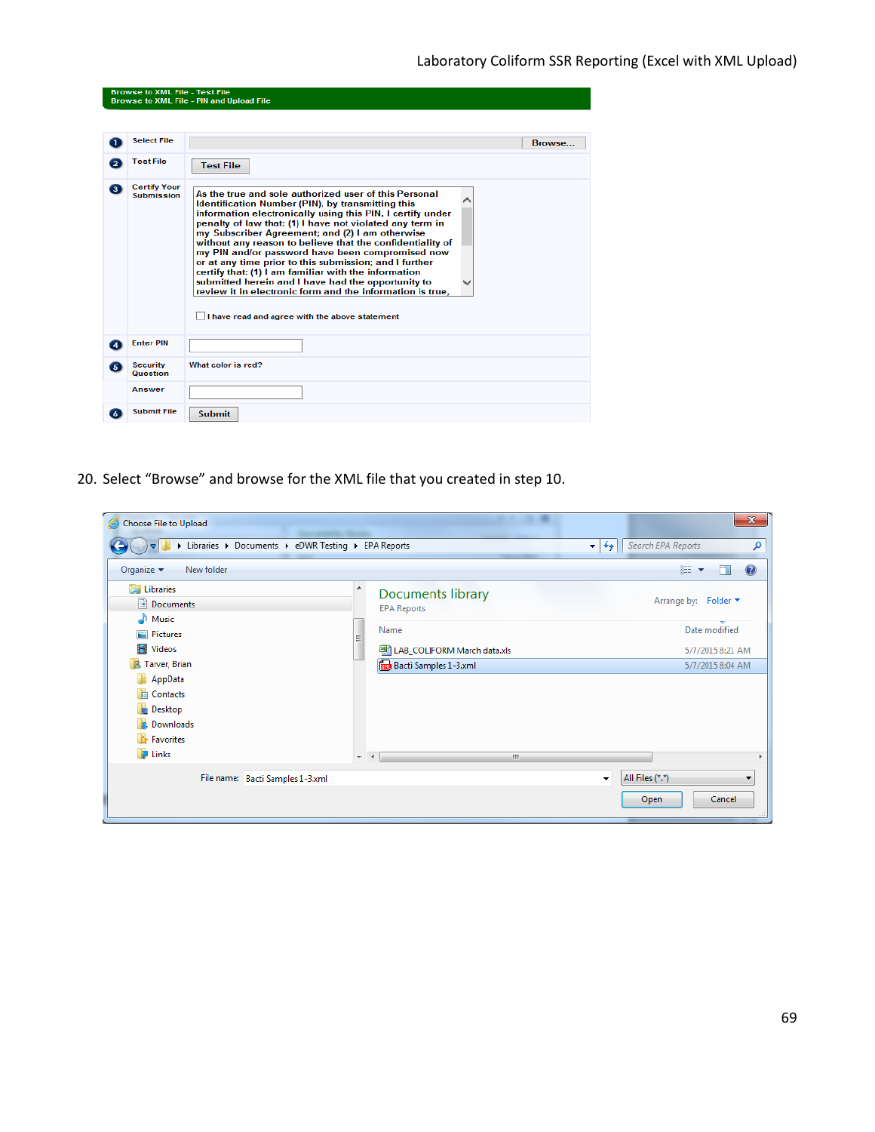|                | <b>Browse to XML File - Test File</b>    | <b>Browse to XML File - PIN and Upload File</b>                                                                                                                                                                                                                                                                                                                                                                                                                                                                                                                                                                                                                                                 |        |
|----------------|------------------------------------------|-------------------------------------------------------------------------------------------------------------------------------------------------------------------------------------------------------------------------------------------------------------------------------------------------------------------------------------------------------------------------------------------------------------------------------------------------------------------------------------------------------------------------------------------------------------------------------------------------------------------------------------------------------------------------------------------------|--------|
| ٦.             | <b>Select File</b>                       |                                                                                                                                                                                                                                                                                                                                                                                                                                                                                                                                                                                                                                                                                                 | Browse |
| $\overline{2}$ | <b>Test File</b>                         | <b>Test File</b>                                                                                                                                                                                                                                                                                                                                                                                                                                                                                                                                                                                                                                                                                |        |
| 6              | <b>Certify Your</b><br><b>Submission</b> | As the true and sole authorized user of this Personal<br>Identification Number (PIN), by transmitting this<br>information electronically using this PIN, I certify under<br>penalty of law that: (1) I have not violated any term in<br>my Subscriber Agreement; and (2) I am otherwise<br>without any reason to believe that the confidentiality of<br>my PIN and/or password have been compromised now<br>or at any time prior to this submission; and I further<br>certify that: (1) I am familiar with the information<br>submitted herein and I have had the opportunity to<br>review it in electronic form and the information is true.<br>I have read and agree with the above statement |        |
| 4              | <b>Enter PIN</b>                         |                                                                                                                                                                                                                                                                                                                                                                                                                                                                                                                                                                                                                                                                                                 |        |
| G)             | <b>Security</b><br><b>Question</b>       | What color is red?                                                                                                                                                                                                                                                                                                                                                                                                                                                                                                                                                                                                                                                                              |        |
|                | Answer                                   |                                                                                                                                                                                                                                                                                                                                                                                                                                                                                                                                                                                                                                                                                                 |        |
|                | <b>Submit File</b>                       | <b>Submit</b>                                                                                                                                                                                                                                                                                                                                                                                                                                                                                                                                                                                                                                                                                   |        |

20. Select "Browse" and browse for the XML file that you created in step 10.

| Choose File to Upload                                |                                                                    | $\mathbf{x}$                                                  |
|------------------------------------------------------|--------------------------------------------------------------------|---------------------------------------------------------------|
| I Libraries > Documents > eDWR Testing > EPA Reports |                                                                    | Search EPA Reports<br>$+$<br>م<br>$\left  \mathbf{v} \right $ |
| Organize $\blacktriangledown$<br>New folder          |                                                                    | 888 ▼<br>O                                                    |
| <b>Exploration</b><br>Documents<br>Music             | $\blacktriangle$<br><b>Documents library</b><br><b>EPA Reports</b> | Arrange by: Folder ▼                                          |
| Pictures                                             | Name<br>릐                                                          | Date modified                                                 |
| Ħ<br><b>Videos</b>                                   | 图 LAB_COLIFORM March data.xls                                      | 5/7/2015 8:21 AM                                              |
| Tarver, Brian<br>$\sqrt{2}$                          | <b>Bacti Samples 1-3.xml</b>                                       | 5/7/2015 8:04 AM                                              |
| AppData                                              |                                                                    |                                                               |
| <b>Contacts</b>                                      |                                                                    |                                                               |
| <b>Desktop</b>                                       |                                                                    |                                                               |
| Downloads                                            |                                                                    |                                                               |
| Favorites                                            |                                                                    |                                                               |
| <b>A</b> Links                                       | m.<br>$\overline{\phantom{a}}$<br>$\rightarrow$                    |                                                               |
| File name: Bacti Samples 1-3.xml                     |                                                                    | All Files (*.*)<br>▼<br>$\cdot$                               |
|                                                      |                                                                    | Cancel<br>Open                                                |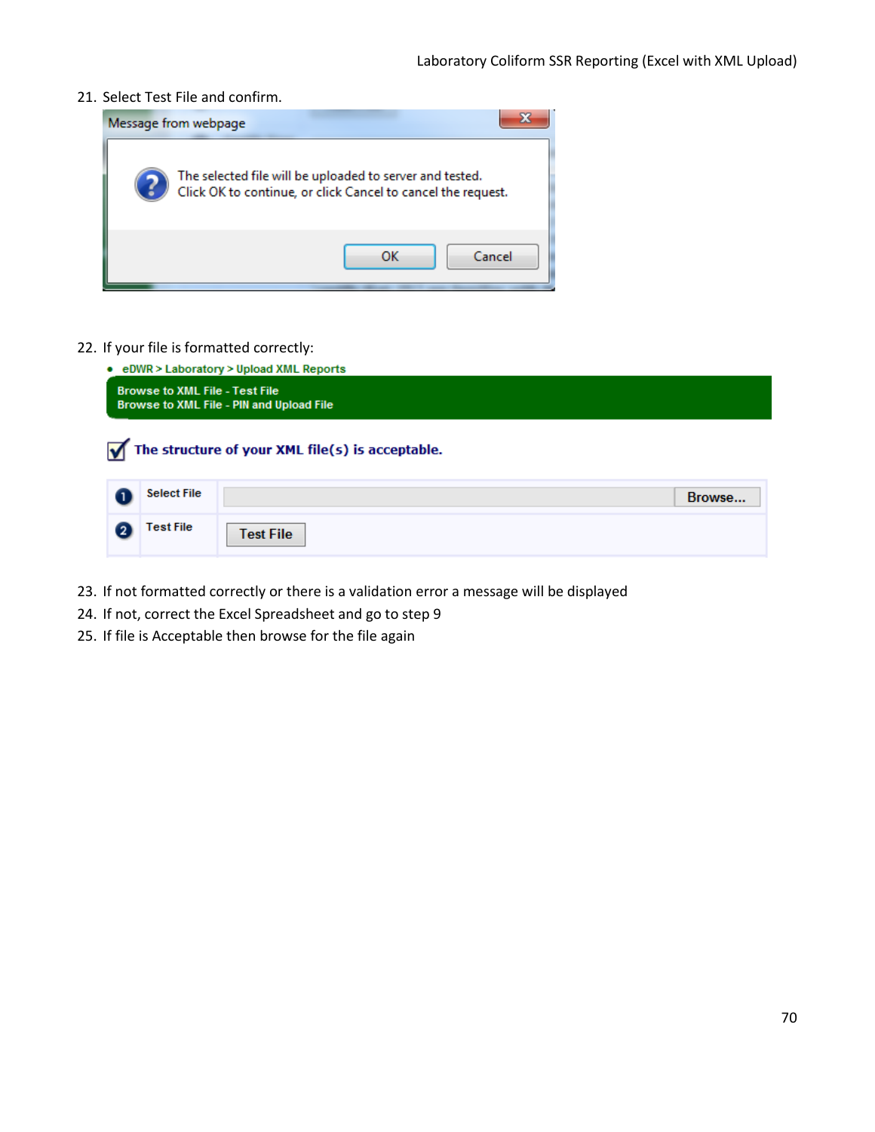21. Select Test File and confirm.



22. If your file is formatted correctly:

| • eDWR > Laboratory > Upload XML Reports<br><b>Browse to XML File - Test File</b><br>Browse to XML File - PIN and Upload File |                    |                  |  |  |
|-------------------------------------------------------------------------------------------------------------------------------|--------------------|------------------|--|--|
| The structure of your XML file(s) is acceptable.                                                                              |                    |                  |  |  |
|                                                                                                                               | <b>Select File</b> | Browse           |  |  |
|                                                                                                                               | Test File          | <b>Test File</b> |  |  |

- 23. If not formatted correctly or there is a validation error a message will be displayed
- 24. If not, correct the Excel Spreadsheet and go to step 9
- 25. If file is Acceptable then browse for the file again